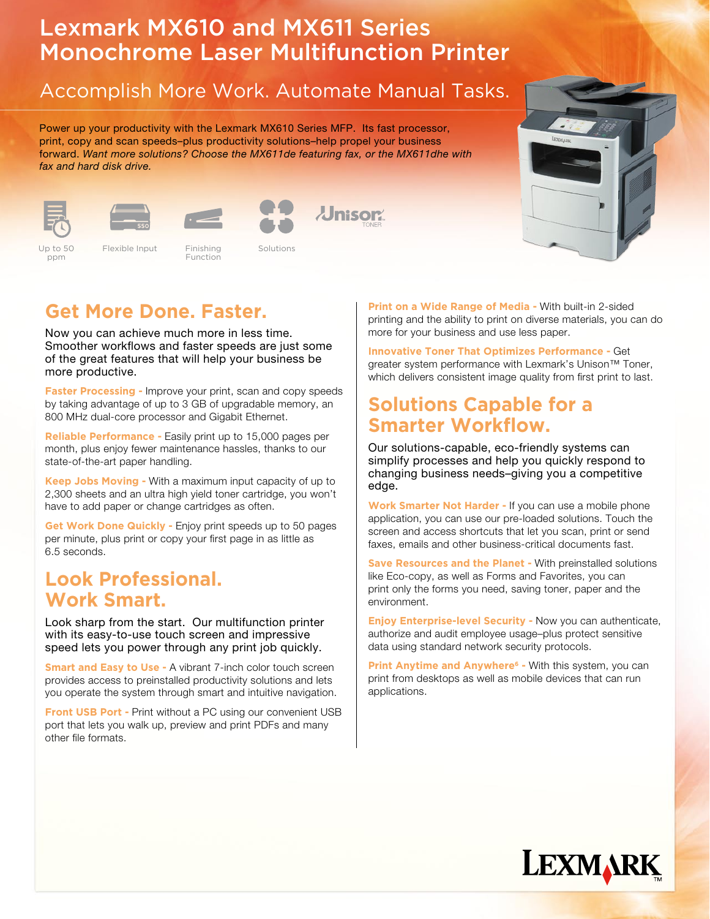# Lexmark MX610 and MX611 Series Monochrome Laser Multifunction Printer

## Accomplish More Work. Automate Manual Tasks.

Power up your productivity with the Lexmark MX610 Series MFP. Its fast processor, print, copy and scan speeds–plus productivity solutions–help propel your business forward. Want more solutions? Choose the MX611de featuring fax, or the MX611dhe with fax and hard disk drive.













Up to 50 ppm **Color 2.4 Up to 50 Flexible Input Finishing Solutions** Solutions Flexible Input Finishing Solutions

Function



Now you can achieve much more in less time. Smoother workflows and faster speeds are just some of the great features that will help your business be more productive.

**Faster Processing - Improve your print, scan and copy speeds** by taking advantage of up to 3 GB of upgradable memory, an 800 MHz dual-core processor and Gigabit Ethernet.

**Reliable Performance -** Easily print up to 15,000 pages per month, plus enjoy fewer maintenance hassles, thanks to our state-of-the-art paper handling.

**Keep Jobs Moving -** With a maximum input capacity of up to 2,300 sheets and an ultra high yield toner cartridge, you won't have to add paper or change cartridges as often.

**Get Work Done Quickly -** Enjoy print speeds up to 50 pages per minute, plus print or copy your first page in as little as 6.5 seconds.

#### **Look Professional. Work Smart.**

Look sharp from the start. Our multifunction printer with its easy-to-use touch screen and impressive speed lets you power through any print job quickly.

**Smart and Easy to Use - A vibrant 7-inch color touch screen** provides access to preinstalled productivity solutions and lets you operate the system through smart and intuitive navigation.

**Front USB Port - Print without a PC using our convenient USB** port that lets you walk up, preview and print PDFs and many other file formats.

**Print on a Wide Range of Media -** With built-in 2-sided printing and the ability to print on diverse materials, you can do more for your business and use less paper.

**Innovative Toner That Optimizes Performance -** Get greater system performance with Lexmark's Unison<sup>™</sup> Toner, which delivers consistent image quality from first print to last.

### **Solutions Capable for a Smarter Workflow.**

Our solutions-capable, eco-friendly systems can simplify processes and help you quickly respond to changing business needs–giving you a competitive edge.

**Work Smarter Not Harder -** If you can use a mobile phone application, you can use our pre-loaded solutions. Touch the screen and access shortcuts that let you scan, print or send faxes, emails and other business-critical documents fast.

**Save Resources and the Planet -** With preinstalled solutions like Eco-copy, as well as Forms and Favorites, you can print only the forms you need, saving toner, paper and the environment.

**Enjoy Enterprise-level Security -** Now you can authenticate, authorize and audit employee usage–plus protect sensitive data using standard network security protocols.

**Print Anytime and Anywhere<sup>6</sup> - With this system, you can** print from desktops as well as mobile devices that can run applications.